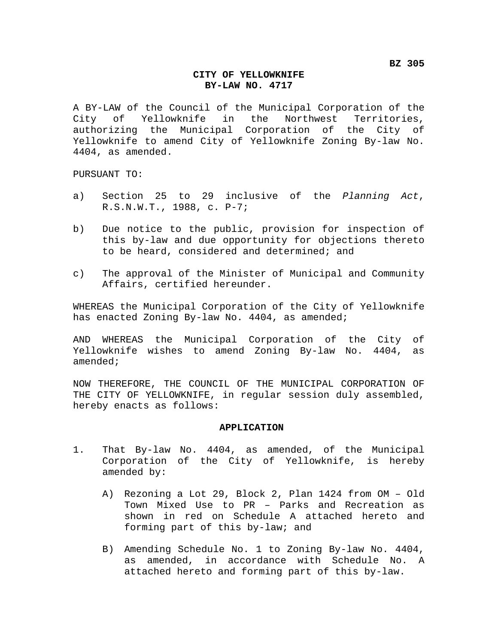## **CITY OF YELLOWKNIFE BY-LAW NO. 4717**

A BY-LAW of the Council of the Municipal Corporation of the City of Yellowknife in the Northwest Territories, authorizing the Municipal Corporation of the City of Yellowknife to amend City of Yellowknife Zoning By-law No. 4404, as amended.

PURSUANT TO:

- a) Section 25 to 29 inclusive of the *Planning Act*, R.S.N.W.T., 1988, c. P-7;
- b) Due notice to the public, provision for inspection of this by-law and due opportunity for objections thereto to be heard, considered and determined; and
- c) The approval of the Minister of Municipal and Community Affairs, certified hereunder.

WHEREAS the Municipal Corporation of the City of Yellowknife has enacted Zoning By-law No. 4404, as amended;

AND WHEREAS the Municipal Corporation of the City of Yellowknife wishes to amend Zoning By-law No. 4404, as amended;

NOW THEREFORE, THE COUNCIL OF THE MUNICIPAL CORPORATION OF THE CITY OF YELLOWKNIFE, in regular session duly assembled, hereby enacts as follows:

## **APPLICATION**

- 1. That By-law No. 4404, as amended, of the Municipal Corporation of the City of Yellowknife, is hereby amended by:
	- A) Rezoning a Lot 29, Block 2, Plan 1424 from OM Old Town Mixed Use to PR – Parks and Recreation as shown in red on Schedule A attached hereto and forming part of this by-law; and
	- B) Amending Schedule No. 1 to Zoning By-law No. 4404, as amended, in accordance with Schedule No. A attached hereto and forming part of this by-law.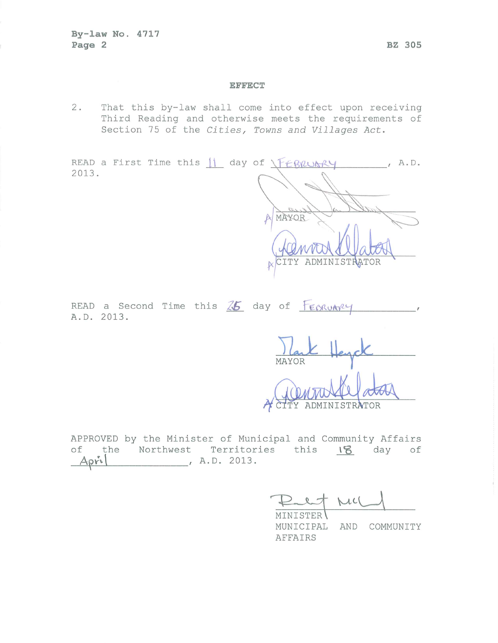## **EFFECT**

That this by-law shall come into effect upon receiving  $2.$ Third Reading and otherwise meets the requirements of Section 75 of the Cities, Towns and Villages Act.

READ a First Time this  $\left| \right|$  day of  $\left| \right|$  february  $, A. D.$ 2013.  $-05$ MAYOR

CITY ADMINISTRATOR

READ a Second Time this  $25$  day of  $F_{ESRUAY}$ A.D. 2013.

MAYOR

APPROVED by the Minister of Municipal and Community Affairs of the Northwest Territories this 18 day of  $\overline{\phantom{1}}$ , A.D. 2013.  $Apr1$ 

 $MLC$ 

MUNICIPAL AND COMMUNITY AFFAIRS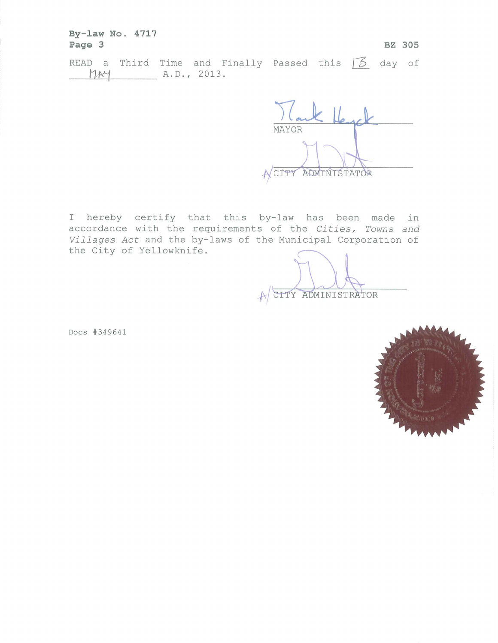By-law No. 4717 Page 3 **BZ 305** READ a Third Time and Finally Passed this  $\overline{5}$  day of A.D., 2013. MAY

MAYOR A CITY ADMINISTATOR

I hereby certify that this by-law has been made in accordance with the requirements of the Cities, Towns and Villages Act and the by-laws of the Municipal Corporation of the City of Yellowknife.

CITY ADMINISTRATOR

Docs #349641